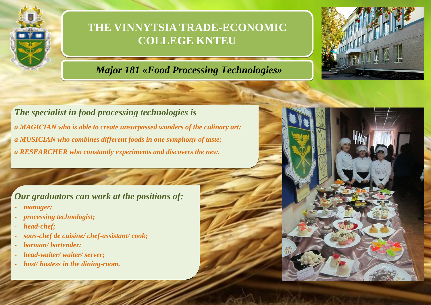

## **THE VINNYTSIA TRADE-ECONOMIC COLLEGE KNTEU**

## *Major 181 «Food Processing Technologies»*



*The specialist in food processing technologies is a MAGICIAN who is able to create unsurpassed wonders of the culinary art; a MUSICIAN who combines different foods in one symphony of taste; a RESEARCHER who constantly experiments and discovers the new.*

*Our graduators can work at the positions of:*

- *manager;*
- *processing technologist;*
- head-chef:
- *sous-chef de cuisine/ chef-assistant/ cook;*
- *barman/ bartender:*
- *head-waiter/ waiter/ server;*
- *host/ hostess in the dining-room.*

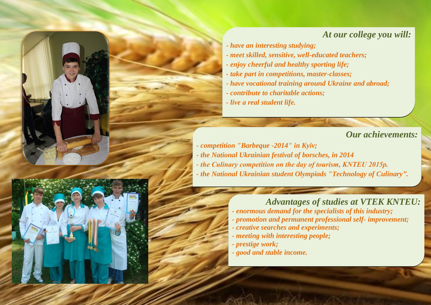## *At our college you will:*

- *- have an interesting studying;*
- *- meet skilled, sensitive, well-educated teachers;*
- *- enjoy cheerful and healthy sporting life;*
- *- take part in competitions, master-classes;*
- *- have vocational training around Ukraine and abroad;*
- *- contribute to charitable actions;*
- *- live a real student life.*

*Our achievements:*

*- competition "Barbeque -2014" in Kyiv; - the National Ukrainian festival of borsches, in 2014 - the Culinary competition on the day of tourism, KNTEU 2015р. - the National Ukrainian student Olympiads "Technology of Culinary".*

## *Advantages of studies at VTEK KNTEU:*

- *- enormous demand for the specialists of this industry;*
- *- promotion and permanent professional self- improvement;*
- *- creative searches and experiments;*
- *- meeting with interesting people;*
- *- prestige work;*
- *- good and stable income.*